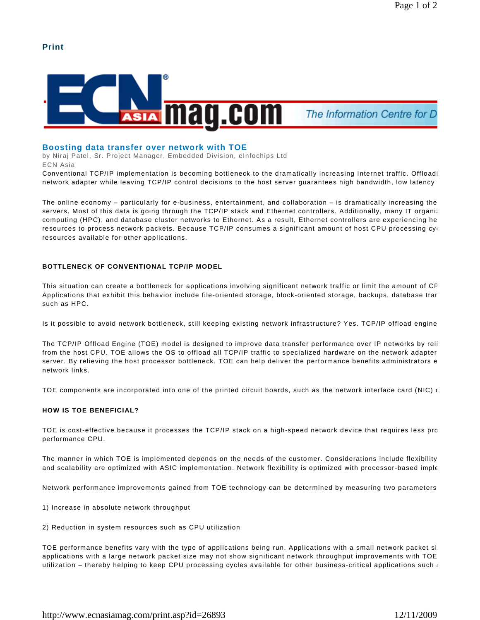# **Print**



# **Boosting data transfer over network with TOE**

by Niraj Patel, Sr. Project Manager, Embedded Division, eInfochips Ltd ECN Asia

Conventional TCP/IP implementation is becoming bottleneck to the dramatically increasing Internet traffic. Offloadi network adapter while leaving TCP/IP control decisions to the host server quarantees high bandwidth, low latency

The online economy – particularly for e-business, entertainment, and collaboration – is dramatically increasing the servers. Most of this data is going through the TCP/IP stack and Ethernet controllers. Additionally, many IT organiz computing (HPC), and database cluster networks to Ethernet. As a result, Ethernet controllers are experiencing he resources to process network packets. Because TCP/IP consumes a significant amount of host CPU processing cyc resources available for other applications.

# **BOTTLENECK OF CONVENTIONAL TCP/IP MODEL**

This situation can create a bottleneck for applications involving significant network traffic or limit the amount of CF Applications that exhibit this behavior include file-oriented storage, block-oriented storage, backups, database tran such as HPC.

Is it possible to avoid network bottleneck, still keeping existing network infrastructure? Yes. TCP/IP offload engine

The TCP/IP Offload Engine (TOE) model is designed to improve data transfer performance over IP networks by reli from the host CPU. TOE allows the OS to offload all TCP/IP traffic to specialized hardware on the network adapter server. By relieving the host processor bottleneck, TOE can help deliver the performance benefits administrators e network links.

TOE components are incorporated into one of the printed circuit boards, such as the network interface card (NIC)  $\epsilon$ 

## **HOW IS TOE BENEFICIAL?**

TOE is cost-effective because it processes the TCP/IP stack on a high-speed network device that requires less pro performance CPU.

The manner in which TOE is implemented depends on the needs of the customer. Considerations include flexibility and scalability are optimized with ASIC implementation. Network flexibility is optimized with processor-based imple

Network performance improvements gained from TOE technology can be determined by measuring two parameters:

- 1) Increase in absolute network throughput
- 2) Reduction in system resources such as CPU utilization

TOE performance benefits vary with the type of applications being run. Applications with a small network packet si applications with a large network packet size may not show significant network throughput improvements with TOE utilization – thereby helping to keep CPU processing cycles available for other business-critical applications such a